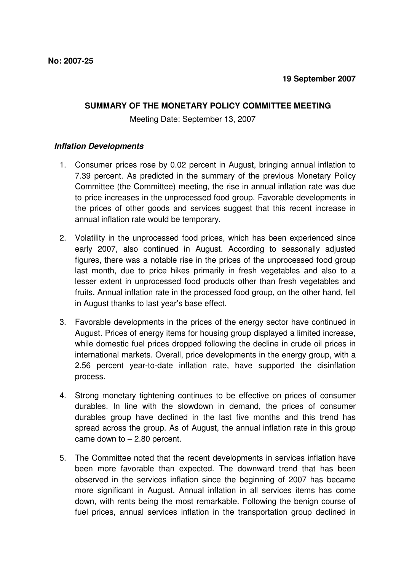## **SUMMARY OF THE MONETARY POLICY COMMITTEE MEETING**

Meeting Date: September 13, 2007

## **Inflation Developments**

- 1. Consumer prices rose by 0.02 percent in August, bringing annual inflation to 7.39 percent. As predicted in the summary of the previous Monetary Policy Committee (the Committee) meeting, the rise in annual inflation rate was due to price increases in the unprocessed food group. Favorable developments in the prices of other goods and services suggest that this recent increase in annual inflation rate would be temporary.
- 2. Volatility in the unprocessed food prices, which has been experienced since early 2007, also continued in August. According to seasonally adjusted figures, there was a notable rise in the prices of the unprocessed food group last month, due to price hikes primarily in fresh vegetables and also to a lesser extent in unprocessed food products other than fresh vegetables and fruits. Annual inflation rate in the processed food group, on the other hand, fell in August thanks to last year's base effect.
- 3. Favorable developments in the prices of the energy sector have continued in August. Prices of energy items for housing group displayed a limited increase, while domestic fuel prices dropped following the decline in crude oil prices in international markets. Overall, price developments in the energy group, with a 2.56 percent year-to-date inflation rate, have supported the disinflation process.
- 4. Strong monetary tightening continues to be effective on prices of consumer durables. In line with the slowdown in demand, the prices of consumer durables group have declined in the last five months and this trend has spread across the group. As of August, the annual inflation rate in this group came down to  $-2.80$  percent.
- 5. The Committee noted that the recent developments in services inflation have been more favorable than expected. The downward trend that has been observed in the services inflation since the beginning of 2007 has became more significant in August. Annual inflation in all services items has come down, with rents being the most remarkable. Following the benign course of fuel prices, annual services inflation in the transportation group declined in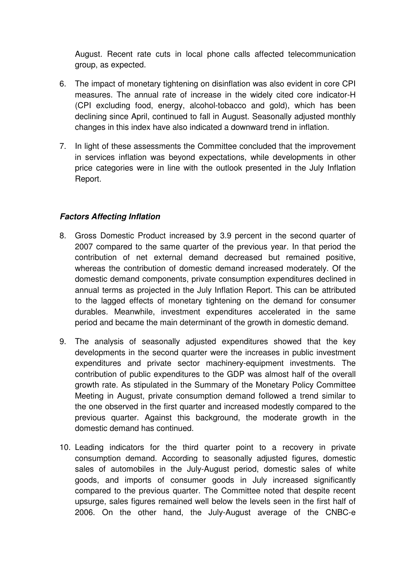August. Recent rate cuts in local phone calls affected telecommunication group, as expected.

- 6. The impact of monetary tightening on disinflation was also evident in core CPI measures. The annual rate of increase in the widely cited core indicator-H (CPI excluding food, energy, alcohol-tobacco and gold), which has been declining since April, continued to fall in August. Seasonally adjusted monthly changes in this index have also indicated a downward trend in inflation.
- 7. In light of these assessments the Committee concluded that the improvement in services inflation was beyond expectations, while developments in other price categories were in line with the outlook presented in the July Inflation Report.

## **Factors Affecting Inflation**

- 8. Gross Domestic Product increased by 3.9 percent in the second quarter of 2007 compared to the same quarter of the previous year. In that period the contribution of net external demand decreased but remained positive, whereas the contribution of domestic demand increased moderately. Of the domestic demand components, private consumption expenditures declined in annual terms as projected in the July Inflation Report. This can be attributed to the lagged effects of monetary tightening on the demand for consumer durables. Meanwhile, investment expenditures accelerated in the same period and became the main determinant of the growth in domestic demand.
- 9. The analysis of seasonally adjusted expenditures showed that the key developments in the second quarter were the increases in public investment expenditures and private sector machinery-equipment investments. The contribution of public expenditures to the GDP was almost half of the overall growth rate. As stipulated in the Summary of the Monetary Policy Committee Meeting in August, private consumption demand followed a trend similar to the one observed in the first quarter and increased modestly compared to the previous quarter. Against this background, the moderate growth in the domestic demand has continued.
- 10. Leading indicators for the third quarter point to a recovery in private consumption demand. According to seasonally adjusted figures, domestic sales of automobiles in the July-August period, domestic sales of white goods, and imports of consumer goods in July increased significantly compared to the previous quarter. The Committee noted that despite recent upsurge, sales figures remained well below the levels seen in the first half of 2006. On the other hand, the July-August average of the CNBC-e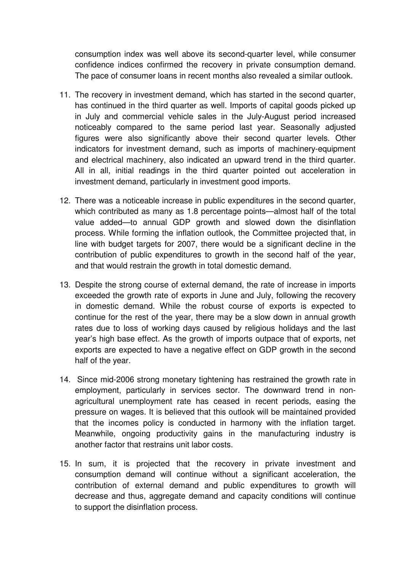consumption index was well above its second-quarter level, while consumer confidence indices confirmed the recovery in private consumption demand. The pace of consumer loans in recent months also revealed a similar outlook.

- 11. The recovery in investment demand, which has started in the second quarter, has continued in the third quarter as well. Imports of capital goods picked up in July and commercial vehicle sales in the July-August period increased noticeably compared to the same period last year. Seasonally adjusted figures were also significantly above their second quarter levels. Other indicators for investment demand, such as imports of machinery-equipment and electrical machinery, also indicated an upward trend in the third quarter. All in all, initial readings in the third quarter pointed out acceleration in investment demand, particularly in investment good imports.
- 12. There was a noticeable increase in public expenditures in the second quarter, which contributed as many as 1.8 percentage points—almost half of the total value added—to annual GDP growth and slowed down the disinflation process. While forming the inflation outlook, the Committee projected that, in line with budget targets for 2007, there would be a significant decline in the contribution of public expenditures to growth in the second half of the year, and that would restrain the growth in total domestic demand.
- 13. Despite the strong course of external demand, the rate of increase in imports exceeded the growth rate of exports in June and July, following the recovery in domestic demand. While the robust course of exports is expected to continue for the rest of the year, there may be a slow down in annual growth rates due to loss of working days caused by religious holidays and the last year's high base effect. As the growth of imports outpace that of exports, net exports are expected to have a negative effect on GDP growth in the second half of the year.
- 14. Since mid-2006 strong monetary tightening has restrained the growth rate in employment, particularly in services sector. The downward trend in nonagricultural unemployment rate has ceased in recent periods, easing the pressure on wages. It is believed that this outlook will be maintained provided that the incomes policy is conducted in harmony with the inflation target. Meanwhile, ongoing productivity gains in the manufacturing industry is another factor that restrains unit labor costs.
- 15. In sum, it is projected that the recovery in private investment and consumption demand will continue without a significant acceleration, the contribution of external demand and public expenditures to growth will decrease and thus, aggregate demand and capacity conditions will continue to support the disinflation process.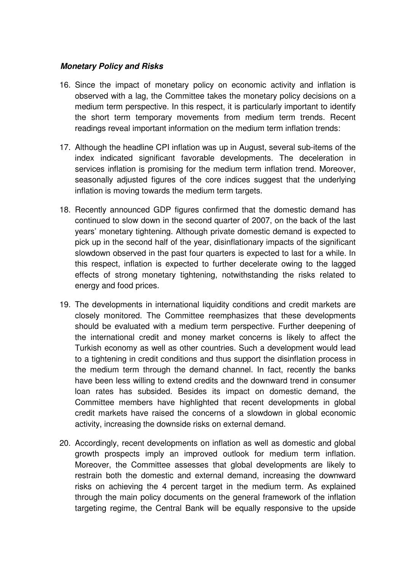## **Monetary Policy and Risks**

- 16. Since the impact of monetary policy on economic activity and inflation is observed with a lag, the Committee takes the monetary policy decisions on a medium term perspective. In this respect, it is particularly important to identify the short term temporary movements from medium term trends. Recent readings reveal important information on the medium term inflation trends:
- 17. Although the headline CPI inflation was up in August, several sub-items of the index indicated significant favorable developments. The deceleration in services inflation is promising for the medium term inflation trend. Moreover, seasonally adjusted figures of the core indices suggest that the underlying inflation is moving towards the medium term targets.
- 18. Recently announced GDP figures confirmed that the domestic demand has continued to slow down in the second quarter of 2007, on the back of the last years' monetary tightening. Although private domestic demand is expected to pick up in the second half of the year, disinflationary impacts of the significant slowdown observed in the past four quarters is expected to last for a while. In this respect, inflation is expected to further decelerate owing to the lagged effects of strong monetary tightening, notwithstanding the risks related to energy and food prices.
- 19. The developments in international liquidity conditions and credit markets are closely monitored. The Committee reemphasizes that these developments should be evaluated with a medium term perspective. Further deepening of the international credit and money market concerns is likely to affect the Turkish economy as well as other countries. Such a development would lead to a tightening in credit conditions and thus support the disinflation process in the medium term through the demand channel. In fact, recently the banks have been less willing to extend credits and the downward trend in consumer loan rates has subsided. Besides its impact on domestic demand, the Committee members have highlighted that recent developments in global credit markets have raised the concerns of a slowdown in global economic activity, increasing the downside risks on external demand.
- 20. Accordingly, recent developments on inflation as well as domestic and global growth prospects imply an improved outlook for medium term inflation. Moreover, the Committee assesses that global developments are likely to restrain both the domestic and external demand, increasing the downward risks on achieving the 4 percent target in the medium term. As explained through the main policy documents on the general framework of the inflation targeting regime, the Central Bank will be equally responsive to the upside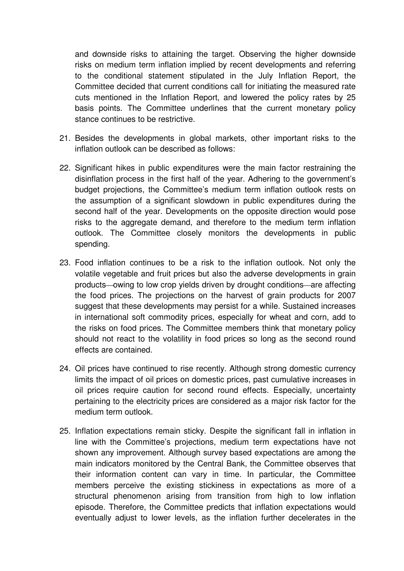and downside risks to attaining the target. Observing the higher downside risks on medium term inflation implied by recent developments and referring to the conditional statement stipulated in the July Inflation Report, the Committee decided that current conditions call for initiating the measured rate cuts mentioned in the Inflation Report, and lowered the policy rates by 25 basis points. The Committee underlines that the current monetary policy stance continues to be restrictive.

- 21. Besides the developments in global markets, other important risks to the inflation outlook can be described as follows:
- 22. Significant hikes in public expenditures were the main factor restraining the disinflation process in the first half of the year. Adhering to the government's budget projections, the Committee's medium term inflation outlook rests on the assumption of a significant slowdown in public expenditures during the second half of the year. Developments on the opposite direction would pose risks to the aggregate demand, and therefore to the medium term inflation outlook. The Committee closely monitors the developments in public spending.
- 23. Food inflation continues to be a risk to the inflation outlook. Not only the volatile vegetable and fruit prices but also the adverse developments in grain products—owing to low crop yields driven by drought conditions—are affecting the food prices. The projections on the harvest of grain products for 2007 suggest that these developments may persist for a while. Sustained increases in international soft commodity prices, especially for wheat and corn, add to the risks on food prices. The Committee members think that monetary policy should not react to the volatility in food prices so long as the second round effects are contained.
- 24. Oil prices have continued to rise recently. Although strong domestic currency limits the impact of oil prices on domestic prices, past cumulative increases in oil prices require caution for second round effects. Especially, uncertainty pertaining to the electricity prices are considered as a major risk factor for the medium term outlook.
- 25. Inflation expectations remain sticky. Despite the significant fall in inflation in line with the Committee's projections, medium term expectations have not shown any improvement. Although survey based expectations are among the main indicators monitored by the Central Bank, the Committee observes that their information content can vary in time. In particular, the Committee members perceive the existing stickiness in expectations as more of a structural phenomenon arising from transition from high to low inflation episode. Therefore, the Committee predicts that inflation expectations would eventually adjust to lower levels, as the inflation further decelerates in the